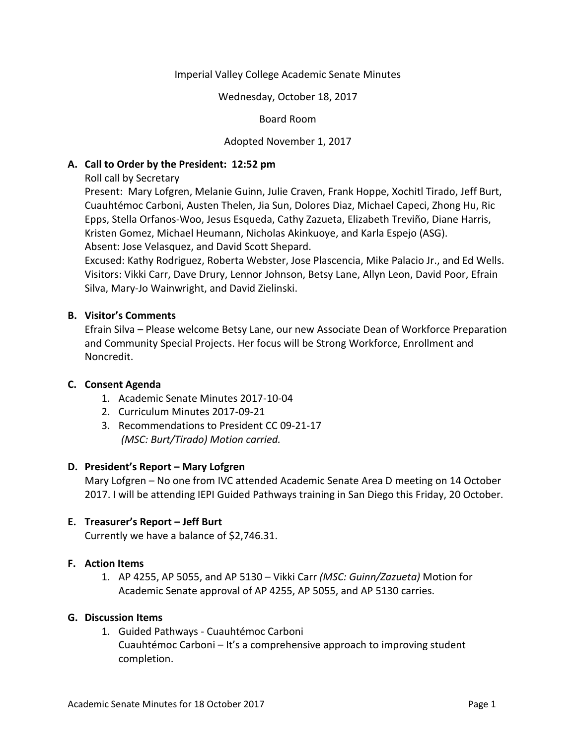## Imperial Valley College Academic Senate Minutes

#### Wednesday, October 18, 2017

#### Board Room

## Adopted November 1, 2017

## **A. Call to Order by the President: 12:52 pm**

Roll call by Secretary

Present: Mary Lofgren, Melanie Guinn, Julie Craven, Frank Hoppe, Xochitl Tirado, Jeff Burt, Cuauhtémoc Carboni, Austen Thelen, Jia Sun, Dolores Diaz, Michael Capeci, Zhong Hu, Ric Epps, Stella Orfanos-Woo, Jesus Esqueda, Cathy Zazueta, Elizabeth Treviño, Diane Harris, Kristen Gomez, Michael Heumann, Nicholas Akinkuoye, and Karla Espejo (ASG). Absent: Jose Velasquez, and David Scott Shepard.

Excused: Kathy Rodriguez, Roberta Webster, Jose Plascencia, Mike Palacio Jr., and Ed Wells. Visitors: Vikki Carr, Dave Drury, Lennor Johnson, Betsy Lane, Allyn Leon, David Poor, Efrain Silva, Mary-Jo Wainwright, and David Zielinski.

## **B. Visitor's Comments**

Efrain Silva – Please welcome Betsy Lane, our new Associate Dean of Workforce Preparation and Community Special Projects. Her focus will be Strong Workforce, Enrollment and Noncredit.

## **C. Consent Agenda**

- 1. Academic Senate Minutes 2017-10-04
- 2. Curriculum Minutes 2017-09-21
- 3. Recommendations to President CC 09-21-17 *(MSC: Burt/Tirado) Motion carried.*

## **D. President's Report – Mary Lofgren**

Mary Lofgren – No one from IVC attended Academic Senate Area D meeting on 14 October 2017. I will be attending IEPI Guided Pathways training in San Diego this Friday, 20 October.

## **E. Treasurer's Report – Jeff Burt**

Currently we have a balance of \$2,746.31.

# **F. Action Items**

1. AP 4255, AP 5055, and AP 5130 – Vikki Carr *(MSC: Guinn/Zazueta)* Motion for Academic Senate approval of AP 4255, AP 5055, and AP 5130 carries.

## **G. Discussion Items**

1. Guided Pathways - Cuauhtémoc Carboni Cuauhtémoc Carboni – It's a comprehensive approach to improving student completion.